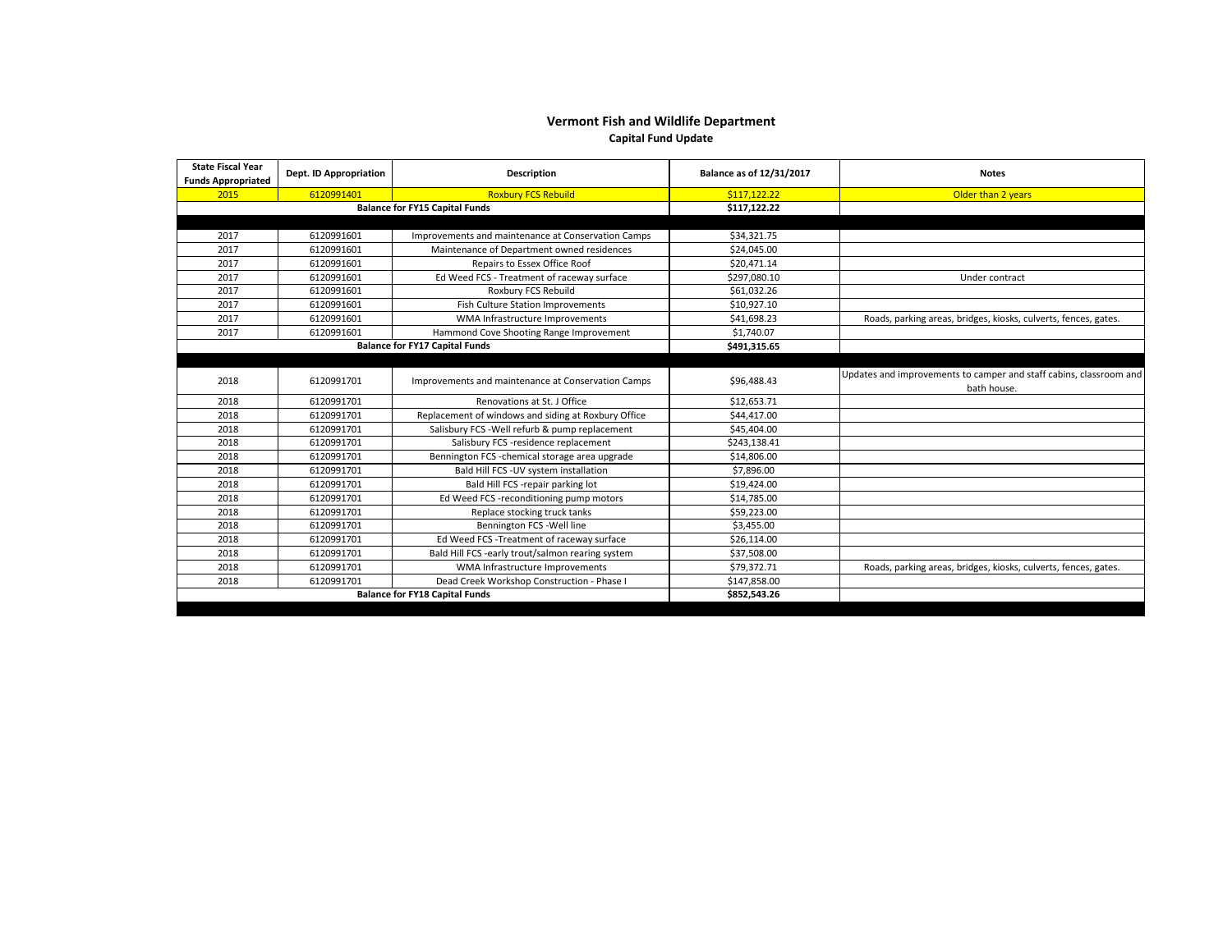## **Vermont Fish and Wildlife Department**

**Capital Fund Update**

| <b>State Fiscal Year</b><br><b>Funds Appropriated</b> | Dept. ID Appropriation                | <b>Description</b>                                  | Balance as of 12/31/2017 | <b>Notes</b>                                                                      |
|-------------------------------------------------------|---------------------------------------|-----------------------------------------------------|--------------------------|-----------------------------------------------------------------------------------|
| 2015                                                  | 6120991401                            | <b>Roxbury FCS Rebuild</b>                          | \$117.122.22             | Older than 2 years                                                                |
| <b>Balance for FY15 Capital Funds</b>                 |                                       |                                                     | \$117,122.22             |                                                                                   |
|                                                       |                                       |                                                     |                          |                                                                                   |
| 2017                                                  | 6120991601                            | Improvements and maintenance at Conservation Camps  | \$34,321.75              |                                                                                   |
| 2017                                                  | 6120991601                            | Maintenance of Department owned residences          | \$24,045.00              |                                                                                   |
| 2017                                                  | 6120991601                            | Repairs to Essex Office Roof                        | \$20,471.14              |                                                                                   |
| 2017                                                  | 6120991601                            | Ed Weed FCS - Treatment of raceway surface          | \$297,080.10             | Under contract                                                                    |
| 2017                                                  | 6120991601                            | Roxbury FCS Rebuild                                 | \$61.032.26              |                                                                                   |
| 2017                                                  | 6120991601                            | Fish Culture Station Improvements                   | \$10,927.10              |                                                                                   |
| 2017                                                  | 6120991601                            | WMA Infrastructure Improvements                     | \$41,698.23              | Roads, parking areas, bridges, kiosks, culverts, fences, gates.                   |
| 2017                                                  | 6120991601                            | Hammond Cove Shooting Range Improvement             | \$1,740.07               |                                                                                   |
|                                                       | <b>Balance for FY17 Capital Funds</b> |                                                     |                          |                                                                                   |
|                                                       |                                       |                                                     |                          |                                                                                   |
| 2018                                                  | 6120991701                            | Improvements and maintenance at Conservation Camps  | \$96,488.43              | Updates and improvements to camper and staff cabins, classroom and<br>bath house. |
| 2018                                                  | 6120991701                            | Renovations at St. J Office                         | \$12.653.71              |                                                                                   |
| 2018                                                  | 6120991701                            | Replacement of windows and siding at Roxbury Office | \$44,417.00              |                                                                                   |
| 2018                                                  | 6120991701                            | Salisbury FCS - Well refurb & pump replacement      | \$45,404.00              |                                                                                   |
| 2018                                                  | 6120991701                            | Salisbury FCS -residence replacement                | \$243,138.41             |                                                                                   |
| 2018                                                  | 6120991701                            | Bennington FCS -chemical storage area upgrade       | \$14,806.00              |                                                                                   |
| 2018                                                  | 6120991701                            | Bald Hill FCS - UV system installation              | \$7,896.00               |                                                                                   |
| 2018                                                  | 6120991701                            | Bald Hill FCS -repair parking lot                   | \$19,424.00              |                                                                                   |
| 2018                                                  | 6120991701                            | Ed Weed FCS -reconditioning pump motors             | \$14,785.00              |                                                                                   |
| 2018                                                  | 6120991701                            | Replace stocking truck tanks                        | \$59,223.00              |                                                                                   |
| 2018                                                  | 6120991701                            | Bennington FCS - Well line                          | \$3,455.00               |                                                                                   |
| 2018                                                  | 6120991701                            | Ed Weed FCS - Treatment of raceway surface          | \$26,114.00              |                                                                                   |
| 2018                                                  | 6120991701                            | Bald Hill FCS -early trout/salmon rearing system    | \$37,508.00              |                                                                                   |
| 2018                                                  | 6120991701                            | WMA Infrastructure Improvements                     | \$79,372.71              | Roads, parking areas, bridges, kiosks, culverts, fences, gates.                   |
| 2018                                                  | 6120991701                            | Dead Creek Workshop Construction - Phase I          | \$147,858.00             |                                                                                   |
| <b>Balance for FY18 Capital Funds</b>                 |                                       |                                                     | \$852,543.26             |                                                                                   |